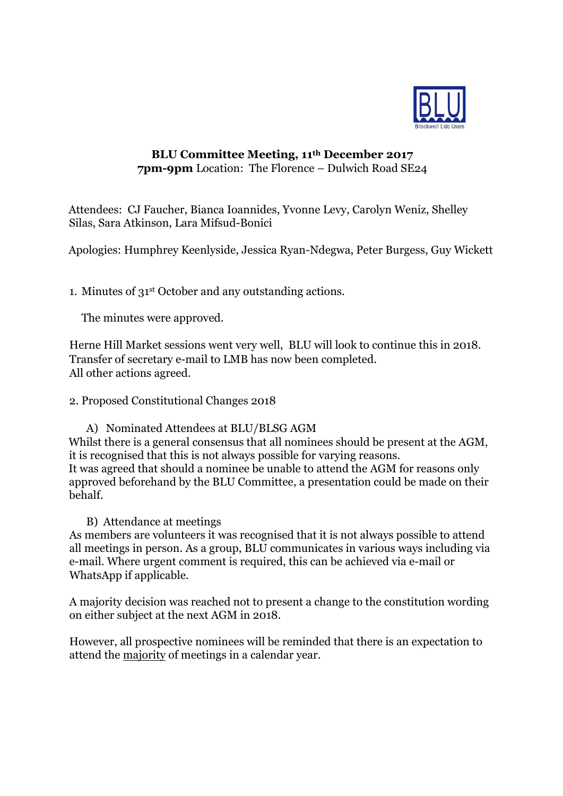

## **BLU Committee Meeting, 11th December 2017 7pm-9pm** Location: The Florence – Dulwich Road SE24

Attendees: CJ Faucher, Bianca Ioannides, Yvonne Levy, Carolyn Weniz, Shelley Silas, Sara Atkinson, Lara Mifsud-Bonici

Apologies: Humphrey Keenlyside, Jessica Ryan-Ndegwa, Peter Burgess, Guy Wickett

1. Minutes of 31st October and any outstanding actions.

The minutes were approved.

Herne Hill Market sessions went very well, BLU will look to continue this in 2018. Transfer of secretary e-mail to LMB has now been completed. All other actions agreed.

2. Proposed Constitutional Changes 2018

A) Nominated Attendees at BLU/BLSG AGM Whilst there is a general consensus that all nominees should be present at the AGM, it is recognised that this is not always possible for varying reasons. It was agreed that should a nominee be unable to attend the AGM for reasons only approved beforehand by the BLU Committee, a presentation could be made on their behalf.

B) Attendance at meetings

As members are volunteers it was recognised that it is not always possible to attend all meetings in person. As a group, BLU communicates in various ways including via e-mail. Where urgent comment is required, this can be achieved via e-mail or WhatsApp if applicable.

A majority decision was reached not to present a change to the constitution wording on either subject at the next AGM in 2018.

However, all prospective nominees will be reminded that there is an expectation to attend the majority of meetings in a calendar year.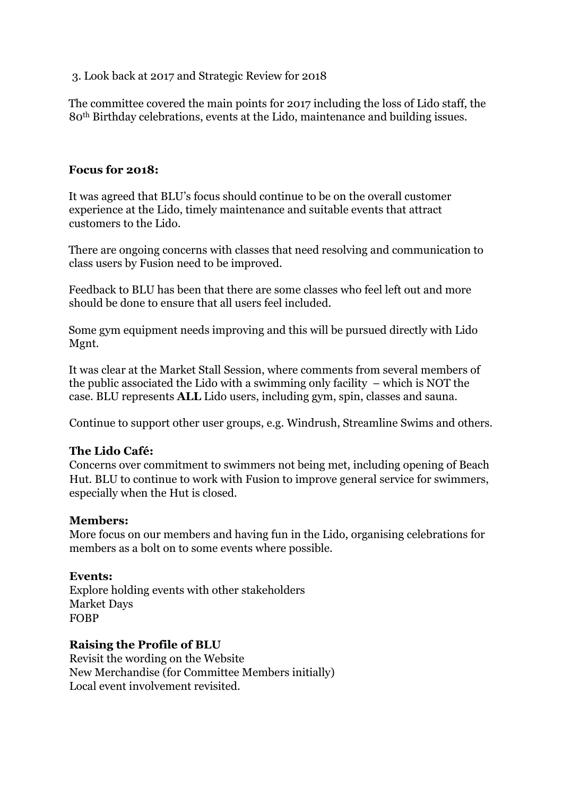3. Look back at 2017 and Strategic Review for 2018

The committee covered the main points for 2017 including the loss of Lido staff, the 80th Birthday celebrations, events at the Lido, maintenance and building issues.

### **Focus for 2018:**

It was agreed that BLU's focus should continue to be on the overall customer experience at the Lido, timely maintenance and suitable events that attract customers to the Lido.

There are ongoing concerns with classes that need resolving and communication to class users by Fusion need to be improved.

Feedback to BLU has been that there are some classes who feel left out and more should be done to ensure that all users feel included.

Some gym equipment needs improving and this will be pursued directly with Lido Mgnt.

It was clear at the Market Stall Session, where comments from several members of the public associated the Lido with a swimming only facility – which is NOT the case. BLU represents **ALL** Lido users, including gym, spin, classes and sauna.

Continue to support other user groups, e.g. Windrush, Streamline Swims and others.

# **The Lido Café:**

Concerns over commitment to swimmers not being met, including opening of Beach Hut. BLU to continue to work with Fusion to improve general service for swimmers, especially when the Hut is closed.

#### **Members:**

More focus on our members and having fun in the Lido, organising celebrations for members as a bolt on to some events where possible.

#### **Events:**

Explore holding events with other stakeholders Market Days FOBP

# **Raising the Profile of BLU**

Revisit the wording on the Website New Merchandise (for Committee Members initially) Local event involvement revisited.